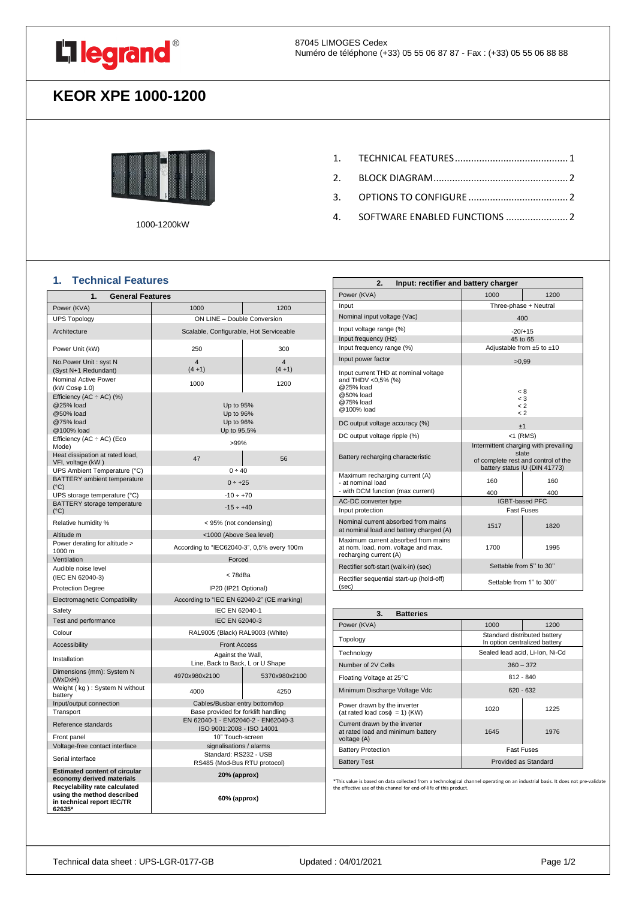

## **KEOR XPE 1000-1200**



1000-1200kW

- 1. [TECHNICAL FEATURES..........................................](#page-0-0) 1
- 2. [BLOCK DIAGRAM..................................................](#page-1-0) 2
- 3. [OPTIONS TO CONFIGURE](#page-1-1) ..................................... 2
- 4. [SOFTWARE ENABLED FUNCTIONS](#page-1-2) ....................... 2

#### <span id="page-0-0"></span>**1. Technical Features**

| 1.<br><b>General Features</b>                                                                       |                                                                 |                           |
|-----------------------------------------------------------------------------------------------------|-----------------------------------------------------------------|---------------------------|
| Power (KVA)                                                                                         | 1000                                                            | 1200                      |
| <b>UPS Topology</b>                                                                                 | ON LINE - Double Conversion                                     |                           |
| Architecture                                                                                        | Scalable, Configurable, Hot Serviceable                         |                           |
| Power Unit (kW)                                                                                     | 250                                                             | 300                       |
| No.Power Unit: syst N<br>(Syst N+1 Redundant)                                                       | 4<br>$(4 + 1)$                                                  | $\overline{4}$<br>$(4+1)$ |
| Nominal Active Power<br>(kW Coso 1.0)                                                               | 1000                                                            | 1200                      |
| Efficiency (AC $\div$ AC) (%)<br>@25% load<br>@50% load<br>@75% load<br>@100% load                  | Up to 95%<br>Up to 96%<br>Up to 96%<br>Up to 95,5%              |                           |
| Efficiency $(AC \div AC)$ (Eco<br>Mode)                                                             | >99%                                                            |                           |
| Heat dissipation at rated load,<br>VFI, voltage (kW)                                                | 47                                                              | 56                        |
| UPS Ambient Temperature (°C)<br>BATTERY ambient temperature<br>$(^{\circ}C)$                        | $0 \div 40$<br>$0 \div 25$                                      |                           |
| UPS storage temperature (°C)                                                                        | $-10 \div +70$                                                  |                           |
| BATTERY storage temperature<br>$(^{\circ}C)$                                                        | $-15 \div +40$                                                  |                           |
| Relative humidity %                                                                                 | < 95% (not condensing)                                          |                           |
| Altitude m                                                                                          | <1000 (Above Sea level)                                         |                           |
| Power derating for altitude ><br>1000 m                                                             | According to "IEC62040-3", 0,5% every 100m                      |                           |
| Ventilation                                                                                         | Forced                                                          |                           |
| Audible noise level<br>(IEC EN 62040-3)                                                             | < 78dBa                                                         |                           |
| <b>Protection Degree</b>                                                                            | IP20 (IP21 Optional)                                            |                           |
| Electromagnetic Compatibility                                                                       | According to "IEC EN 62040-2" (CE marking)                      |                           |
| Safety                                                                                              | IEC EN 62040-1                                                  |                           |
| Test and performance                                                                                | IEC EN 62040-3                                                  |                           |
| Colour                                                                                              | RAL9005 (Black) RAL9003 (White)                                 |                           |
| Accessibility                                                                                       | <b>Front Access</b>                                             |                           |
| Installation                                                                                        | Against the Wall,<br>Line, Back to Back, L or U Shape           |                           |
| Dimensions (mm): System N<br>(WxDxH)                                                                | 4970x980x2100                                                   | 5370x980x2100             |
| Weight (kg): System N without<br>battery                                                            | 4000                                                            | 4250                      |
| Input/output connection                                                                             | Cables/Busbar entry bottom/top                                  |                           |
| Transport                                                                                           | Base provided for forklift handling                             |                           |
| Reference standards                                                                                 | EN 62040-1 - EN62040-2 - EN62040-3<br>ISO 9001:2008 - ISO 14001 |                           |
| Front panel                                                                                         | 10" Touch-screen                                                |                           |
| Voltage-free contact interface                                                                      | signalisations / alarms                                         |                           |
| Serial interface                                                                                    | Standard: RS232 - USB<br>RS485 (Mod-Bus RTU protocol)           |                           |
| <b>Estimated content of circular</b><br>economy derived materials                                   | 20% (approx)                                                    |                           |
| Recyclability rate calculated<br>using the method described<br>in technical report IEC/TR<br>62635* | 60% (approx)                                                    |                           |

| 2.<br>Input: rectifier and battery charger                                                                      |                                                                                                                        |                           |
|-----------------------------------------------------------------------------------------------------------------|------------------------------------------------------------------------------------------------------------------------|---------------------------|
| Power (KVA)                                                                                                     | 1000                                                                                                                   | 1200                      |
| Input                                                                                                           | Three-phase + Neutral                                                                                                  |                           |
| Nominal input voltage (Vac)                                                                                     | 400                                                                                                                    |                           |
| Input voltage range (%)                                                                                         | $-20/+15$                                                                                                              |                           |
| Input frequency (Hz)                                                                                            | 45 to 65                                                                                                               |                           |
| Input frequency range (%)                                                                                       |                                                                                                                        | Adjustable from ±5 to ±10 |
| Input power factor                                                                                              | >0.99                                                                                                                  |                           |
| Input current THD at nominal voltage<br>and THDV <0,5% (%)<br>@25% load<br>@50% load<br>@75% load<br>@100% load | < 8<br>$<$ 3<br>$\lt 2$<br>$\leq$ 2                                                                                    |                           |
| DC output voltage accuracy (%)                                                                                  | ±1                                                                                                                     |                           |
| DC output voltage ripple (%)                                                                                    | $<$ 1 (RMS)                                                                                                            |                           |
| Battery recharging characteristic                                                                               | Intermittent charging with prevailing<br>state<br>of complete rest and control of the<br>battery status IU (DIN 41773) |                           |
| Maximum recharging current (A)<br>- at nominal load                                                             | 160                                                                                                                    | 160                       |
| - with DCM function (max current)                                                                               | 400                                                                                                                    | 400                       |
| AC-DC converter type                                                                                            | <b>IGBT-based PFC</b>                                                                                                  |                           |
| Input protection                                                                                                | <b>Fast Fuses</b>                                                                                                      |                           |
| Nominal current absorbed from mains<br>at nominal load and battery charged (A)                                  | 1517                                                                                                                   | 1820                      |
| Maximum current absorbed from mains<br>at nom. load, nom. voltage and max.<br>recharging current (A)            | 1700                                                                                                                   | 1995                      |
| Rectifier soft-start (walk-in) (sec)                                                                            | Settable from 5" to 30"                                                                                                |                           |
| Rectifier sequential start-up (hold-off)<br>(sec)                                                               | Settable from 1" to 300"                                                                                               |                           |

| 3.<br><b>Batteries</b>                                                            |                                                               |      |
|-----------------------------------------------------------------------------------|---------------------------------------------------------------|------|
| Power (KVA)                                                                       | 1000                                                          | 1200 |
| Topology                                                                          | Standard distributed battery<br>In option centralized battery |      |
| Technology                                                                        | Sealed lead acid, Li-Ion, Ni-Cd                               |      |
| Number of 2V Cells                                                                | $360 - 372$                                                   |      |
| Floating Voltage at 25°C                                                          | $812 - 840$                                                   |      |
| Minimum Discharge Voltage Vdc                                                     | $620 - 632$                                                   |      |
| Power drawn by the inverter<br>(at rated load $cos\phi = 1$ ) (KW)                | 1020                                                          | 1225 |
| Current drawn by the inverter<br>at rated load and minimum battery<br>voltage (A) | 1645                                                          | 1976 |
| <b>Battery Protection</b>                                                         | <b>Fast Fuses</b>                                             |      |
| <b>Battery Test</b>                                                               | Provided as Standard                                          |      |

\*This value is based on data collected from a technological channel operating on an industrial basis. It does not pre-validate the effective use of this channel for end-of-life of this product.